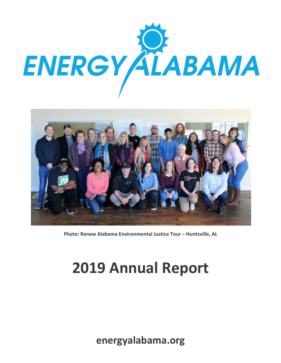



**Photo: Renew Alabama Environmental Justice Tour – Huntsville, AL**

# **2019 Annual Report**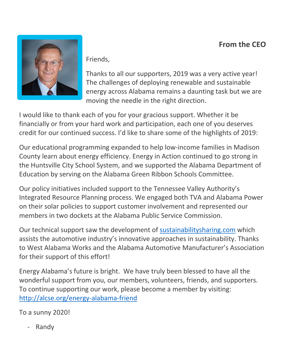#### **From the CEO**



Friends,

Thanks to all our supporters, 2019 was a very active year! The challenges of deploying renewable and sustainable energy across Alabama remains a daunting task but we are moving the needle in the right direction.

I would like to thank each of you for your gracious support. Whether it be financially or from your hard work and participation, each one of you deserves credit for our continued success. I'd like to share some of the highlights of 2019:

Our educational programming expanded to help low-income families in Madison County learn about energy efficiency. Energy in Action continued to go strong in the Huntsville City School System, and we supported the Alabama Department of Education by serving on the Alabama Green Ribbon Schools Committee.

Our policy initiatives included support to the Tennessee Valley Authority's Integrated Resource Planning process. We engaged both TVA and Alabama Power on their solar policies to support customer involvement and represented our members in two dockets at the Alabama Public Service Commission.

Our technical support saw the development of sustainabilitysharing.com which assists the automotive industry's innovative approaches in sustainability. Thanks to West Alabama Works and the Alabama Automotive Manufacturer's Association for their support of this effort!

Energy Alabama's future is bright. We have truly been blessed to have all the wonderful support from you, our members, volunteers, friends, and supporters. To continue supporting our work, please become a member by visiting: http://alcse.org/energy-alabama-friend

To a sunny 2020!

**Randy**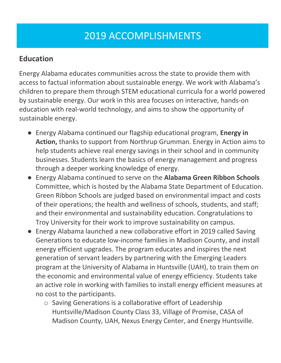# 2019 ACCOMPLISHMENTS

#### **Education**

Energy Alabama educates communities across the state to provide them with access to factual information about sustainable energy. We work with Alabama's children to prepare them through STEM educational curricula for a world powered by sustainable energy. Our work in this area focuses on interactive, hands-on education with real-world technology, and aims to show the opportunity of sustainable energy.

- Energy Alabama continued our flagship educational program, **Energy in Action,** thanks to support from Northrup Grumman. Energy in Action aims to help students achieve real energy savings in their school and in community businesses. Students learn the basics of energy management and progress through a deeper working knowledge of energy.
- Energy Alabama continued to serve on the **Alabama Green Ribbon Schools** Committee, which is hosted by the Alabama State Department of Education. Green Ribbon Schools are judged based on environmental impact and costs of their operations; the health and wellness of schools, students, and staff; and their environmental and sustainability education. Congratulations to Troy University for their work to improve sustainability on campus.
- Energy Alabama launched a new collaborative effort in 2019 called Saving Generations to educate low-income families in Madison County, and install energy efficient upgrades. The program educates and inspires the next generation of servant leaders by partnering with the Emerging Leaders program at the University of Alabama in Huntsville (UAH), to train them on the economic and environmental value of energy efficiency. Students take an active role in working with families to install energy efficient measures at no cost to the participants.
	- o Saving Generations is a collaborative effort of Leadership Huntsville/Madison County Class 33, Village of Promise, CASA of Madison County, UAH, Nexus Energy Center, and Energy Huntsville.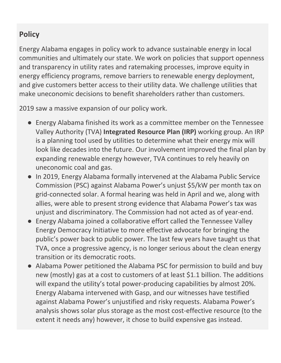#### **Policy**

Energy Alabama engages in policy work to advance sustainable energy in local communities and ultimately our state. We work on policies that support openness and transparency in utility rates and ratemaking processes, improve equity in energy efficiency programs, remove barriers to renewable energy deployment, and give customers better access to their utility data. We challenge utilities that make uneconomic decisions to benefit shareholders rather than customers.

2019 saw a massive expansion of our policy work.

- Energy Alabama finished its work as a committee member on the Tennessee Valley Authority (TVA) **Integrated Resource Plan (IRP)** working group. An IRP is a planning tool used by utilities to determine what their energy mix will look like decades into the future. Our involvement improved the final plan by expanding renewable energy however, TVA continues to rely heavily on uneconomic coal and gas.
- In 2019, Energy Alabama formally intervened at the Alabama Public Service Commission (PSC) against Alabama Power's unjust \$5/kW per month tax on grid-connected solar. A formal hearing was held in April and we, along with allies, were able to present strong evidence that Alabama Power's tax was unjust and discriminatory. The Commission had not acted as of year-end.
- Energy Alabama joined a collaborative effort called the Tennessee Valley Energy Democracy Initiative to more effective advocate for bringing the public's power back to public power. The last few years have taught us that TVA, once a progressive agency, is no longer serious about the clean energy transition or its democratic roots.
- Alabama Power petitioned the Alabama PSC for permission to build and buy new (mostly) gas at a cost to customers of at least \$1.1 billion. The additions will expand the utility's total power-producing capabilities by almost 20%. Energy Alabama intervened with Gasp, and our witnesses have testified against Alabama Power's unjustified and risky requests. Alabama Power's analysis shows solar plus storage as the most cost-effective resource (to the extent it needs any) however, it chose to build expensive gas instead.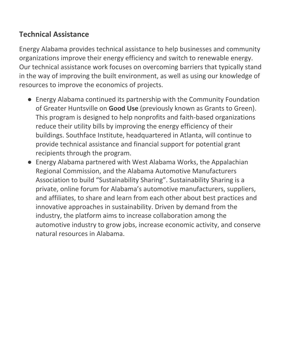#### **Technical Assistance**

Energy Alabama provides technical assistance to help businesses and community organizations improve their energy efficiency and switch to renewable energy. Our technical assistance work focuses on overcoming barriers that typically stand in the way of improving the built environment, as well as using our knowledge of resources to improve the economics of projects.

- Energy Alabama continued its partnership with the Community Foundation of Greater Huntsville on **Good Use** (previously known as Grants to Green). This program is designed to help nonprofits and faith-based organizations reduce their utility bills by improving the energy efficiency of their buildings. Southface Institute, headquartered in Atlanta, will continue to provide technical assistance and financial support for potential grant recipients through the program.
- Energy Alabama partnered with West Alabama Works, the Appalachian Regional Commission, and the Alabama Automotive Manufacturers Association to build "Sustainability Sharing". Sustainability Sharing is a private, online forum for Alabama's automotive manufacturers, suppliers, and affiliates, to share and learn from each other about best practices and innovative approaches in sustainability. Driven by demand from the industry, the platform aims to increase collaboration among the automotive industry to grow jobs, increase economic activity, and conserve natural resources in Alabama.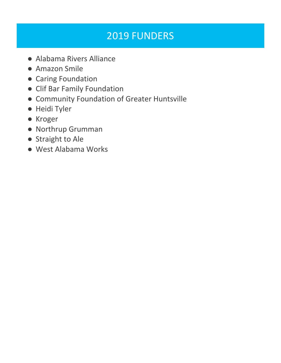# 2019 FUNDERS

- Alabama Rivers Alliance
- Amazon Smile
- Caring Foundation
- Clif Bar Family Foundation
- Community Foundation of Greater Huntsville
- Heidi Tyler
- Kroger
- Northrup Grumman
- Straight to Ale
- West Alabama Works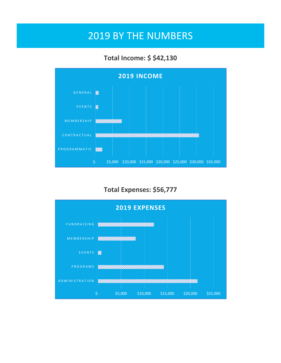### 2019 BY THE NUMBERS

#### **Total Income: \$ \$42,130**



#### **Total Expenses: \$56,777**

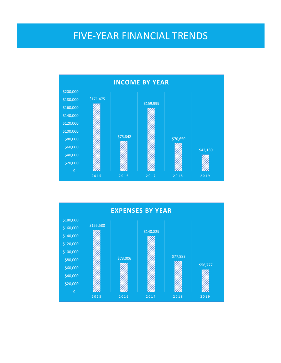### FIVE-YEAR FINANCIAL TRENDS



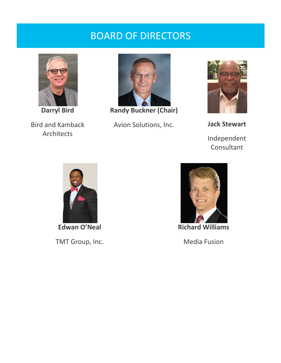### BOARD OF DIRECTORS



**Darryl Bird**

Bird and Kamback Architects



**Randy Buckner (Chair)**

Avion Solutions, Inc. **Jack Stewart**



Independent Consultant



**Edwan O'Neal** TMT Group, Inc.



Media Fusion